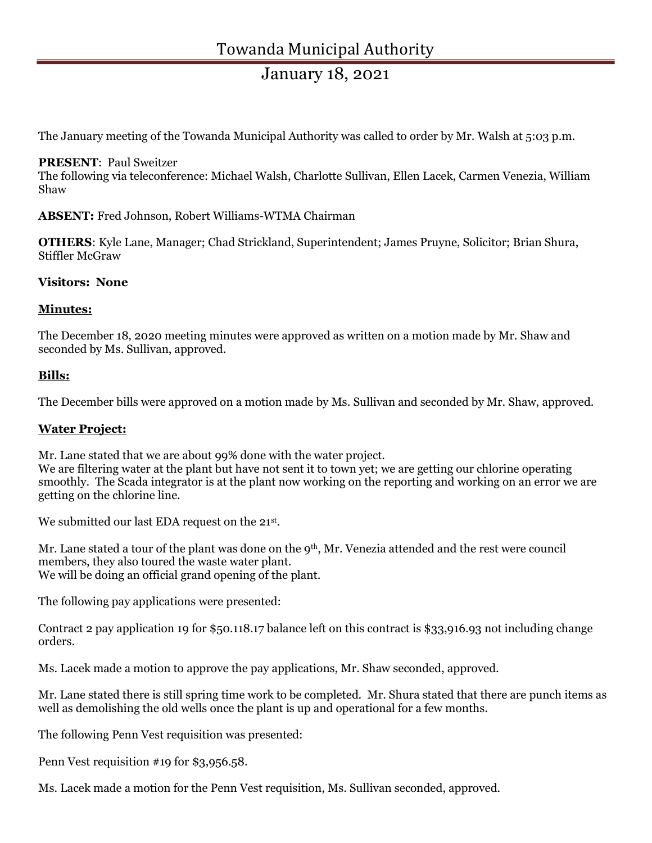## January 18, 2021

The January meeting of the Towanda Municipal Authority was called to order by Mr. Walsh at 5:03 p.m.

#### PRESENT: Paul Sweitzer

The following via teleconference: Michael Walsh, Charlotte Sullivan, Ellen Lacek, Carmen Venezia, William Shaw

ABSENT: Fred Johnson, Robert Williams-WTMA Chairman

OTHERS: Kyle Lane, Manager; Chad Strickland, Superintendent; James Pruyne, Solicitor; Brian Shura, Stiffler McGraw

#### Visitors: None

#### Minutes:

The December 18, 2020 meeting minutes were approved as written on a motion made by Mr. Shaw and seconded by Ms. Sullivan, approved.

#### Bills:

The December bills were approved on a motion made by Ms. Sullivan and seconded by Mr. Shaw, approved.

#### Water Project:

Mr. Lane stated that we are about 99% done with the water project. We are filtering water at the plant but have not sent it to town yet; we are getting our chlorine operating smoothly. The Scada integrator is at the plant now working on the reporting and working on an error we are getting on the chlorine line.

We submitted our last EDA request on the 21<sup>st</sup>.

Mr. Lane stated a tour of the plant was done on the 9<sup>th</sup>, Mr. Venezia attended and the rest were council members, they also toured the waste water plant. We will be doing an official grand opening of the plant.

The following pay applications were presented:

Contract 2 pay application 19 for \$50.118.17 balance left on this contract is \$33,916.93 not including change orders.

Ms. Lacek made a motion to approve the pay applications, Mr. Shaw seconded, approved.

Mr. Lane stated there is still spring time work to be completed. Mr. Shura stated that there are punch items as well as demolishing the old wells once the plant is up and operational for a few months.

The following Penn Vest requisition was presented:

Penn Vest requisition #19 for \$3,956.58.

Ms. Lacek made a motion for the Penn Vest requisition, Ms. Sullivan seconded, approved.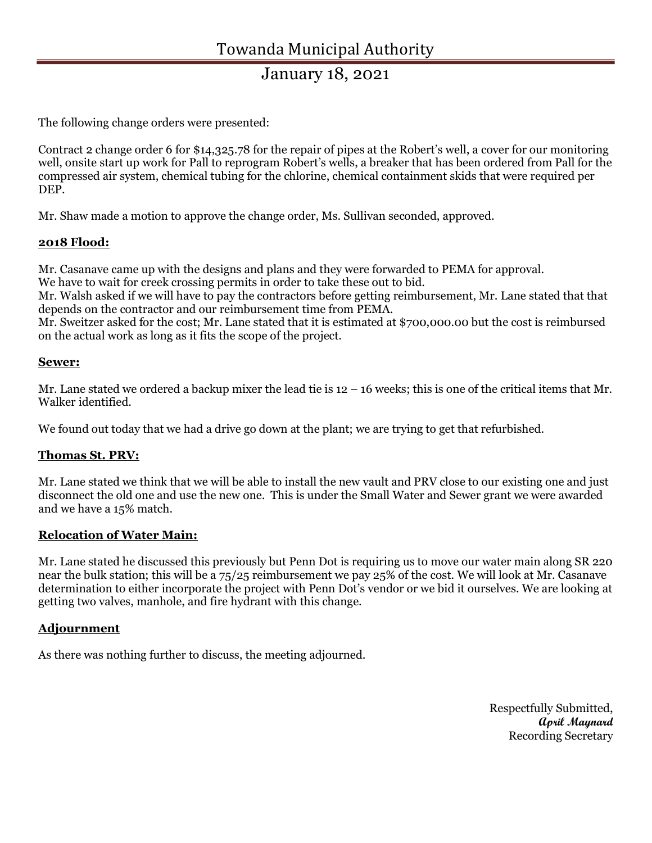## January 18, 2021

The following change orders were presented:

Contract 2 change order 6 for \$14,325.78 for the repair of pipes at the Robert's well, a cover for our monitoring well, onsite start up work for Pall to reprogram Robert's wells, a breaker that has been ordered from Pall for the compressed air system, chemical tubing for the chlorine, chemical containment skids that were required per DEP.

Mr. Shaw made a motion to approve the change order, Ms. Sullivan seconded, approved.

#### 2018 Flood:

Mr. Casanave came up with the designs and plans and they were forwarded to PEMA for approval.

We have to wait for creek crossing permits in order to take these out to bid.

Mr. Walsh asked if we will have to pay the contractors before getting reimbursement, Mr. Lane stated that that depends on the contractor and our reimbursement time from PEMA.

Mr. Sweitzer asked for the cost; Mr. Lane stated that it is estimated at \$700,000.00 but the cost is reimbursed on the actual work as long as it fits the scope of the project.

#### Sewer:

Mr. Lane stated we ordered a backup mixer the lead tie is  $12 - 16$  weeks; this is one of the critical items that Mr. Walker identified.

We found out today that we had a drive go down at the plant; we are trying to get that refurbished.

## Thomas St. PRV:

Mr. Lane stated we think that we will be able to install the new vault and PRV close to our existing one and just disconnect the old one and use the new one. This is under the Small Water and Sewer grant we were awarded and we have a 15% match.

## Relocation of Water Main:

Mr. Lane stated he discussed this previously but Penn Dot is requiring us to move our water main along SR 220 near the bulk station; this will be a 75/25 reimbursement we pay 25% of the cost. We will look at Mr. Casanave determination to either incorporate the project with Penn Dot's vendor or we bid it ourselves. We are looking at getting two valves, manhole, and fire hydrant with this change.

#### Adjournment

As there was nothing further to discuss, the meeting adjourned.